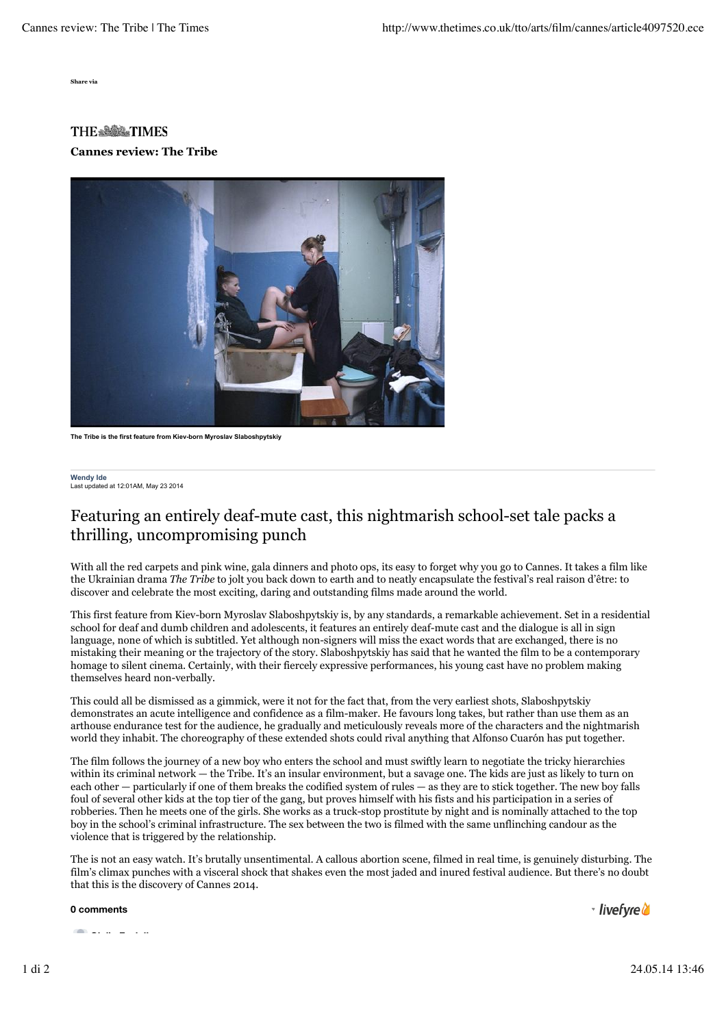**Share via**

## **THE & BOARTIMES Cannes review: The Tribe**



**The Tribe is the first feature from Kiev-born Myroslav Slaboshpytskiy**

**Wendy Ide** ....<br>ated at 12:01AM, May 23 2014

## Featuring an entirely deaf-mute cast, this nightmarish school-set tale packs a thrilling, uncompromising punch

With all the red carpets and pink wine, gala dinners and photo ops, its easy to forget why you go to Cannes. It takes a film like the Ukrainian drama *The Tribe* to jolt you back down to earth and to neatly encapsulate the festival's real raison d'être: to discover and celebrate the most exciting, daring and outstanding films made around the world.

This first feature from Kiev-born Myroslav Slaboshpytskiy is, by any standards, a remarkable achievement. Set in a residential school for deaf and dumb children and adolescents, it features an entirely deaf-mute cast and the dialogue is all in sign language, none of which is subtitled. Yet although non-signers will miss the exact words that are exchanged, there is no mistaking their meaning or the trajectory of the story. Slaboshpytskiy has said that he wanted the film to be a contemporary homage to silent cinema. Certainly, with their fiercely expressive performances, his young cast have no problem making themselves heard non-verbally.

This could all be dismissed as a gimmick, were it not for the fact that, from the very earliest shots, Slaboshpytskiy demonstrates an acute intelligence and confidence as a film-maker. He favours long takes, but rather than use them as an arthouse endurance test for the audience, he gradually and meticulously reveals more of the characters and the nightmarish world they inhabit. The choreography of these extended shots could rival anything that Alfonso Cuarón has put together.

The film follows the journey of a new boy who enters the school and must swiftly learn to negotiate the tricky hierarchies within its criminal network — the Tribe. It's an insular environment, but a savage one. The kids are just as likely to turn on each other — particularly if one of them breaks the codified system of rules — as they are to stick together. The new boy falls foul of several other kids at the top tier of the gang, but proves himself with his fists and his participation in a series of robberies. Then he meets one of the girls. She works as a truck-stop prostitute by night and is nominally attached to the top boy in the school's criminal infrastructure. The sex between the two is filmed with the same unflinching candour as the violence that is triggered by the relationship.

The is not an easy watch. It's brutally unsentimental. A callous abortion scene, filmed in real time, is genuinely disturbing. The film's climax punches with a visceral shock that shakes even the most jaded and inured festival audience. But there's no doubt that this is the discovery of Cannes 2014.

**0 comments**

- livefyre